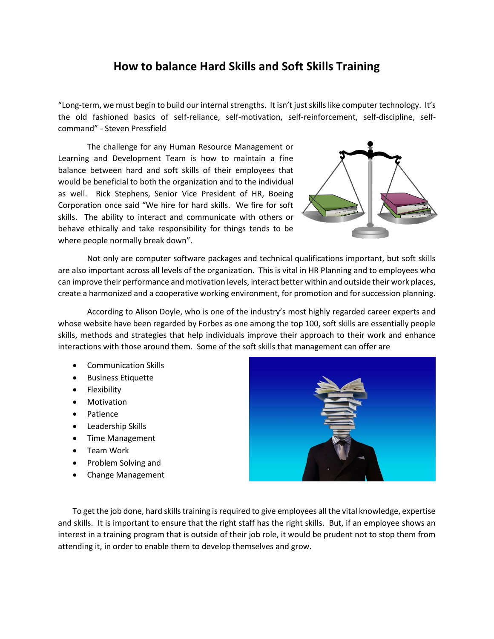## **How to balance Hard Skills and Soft Skills Training**

"Long-term, we must begin to build our internal strengths. It isn't just skills like computer technology. It's the old fashioned basics of self-reliance, self-motivation, self-reinforcement, self-discipline, selfcommand" - Steven Pressfield

The challenge for any Human Resource Management or Learning and Development Team is how to maintain a fine balance between hard and soft skills of their employees that would be beneficial to both the organization and to the individual as well. Rick Stephens, Senior Vice President of HR, Boeing Corporation once said "We hire for hard skills. We fire for soft skills. The ability to interact and communicate with others or behave ethically and take responsibility for things tends to be where people normally break down".



Not only are computer software packages and technical qualifications important, but soft skills are also important across all levels of the organization. This is vital in HR Planning and to employees who can improve their performance and motivation levels, interact better within and outside their work places, create a harmonized and a cooperative working environment, for promotion and for succession planning.

According to Alison Doyle, who is one of the industry's most highly regarded career experts and whose website have been regarded by Forbes as one among the top 100, soft skills are essentially people skills, methods and strategies that help individuals improve their approach to their work and enhance interactions with those around them. Some of the soft skills that management can offer are

- Communication Skills
- Business Etiquette
- Flexibility
- Motivation
- Patience
- Leadership Skills
- Time Management
- Team Work
- Problem Solving and
- Change Management



To get the job done, hard skills training is required to give employees all the vital knowledge, expertise and skills. It is important to ensure that the right staff has the right skills. But, if an employee shows an interest in a training program that is outside of their job role, it would be prudent not to stop them from attending it, in order to enable them to develop themselves and grow.